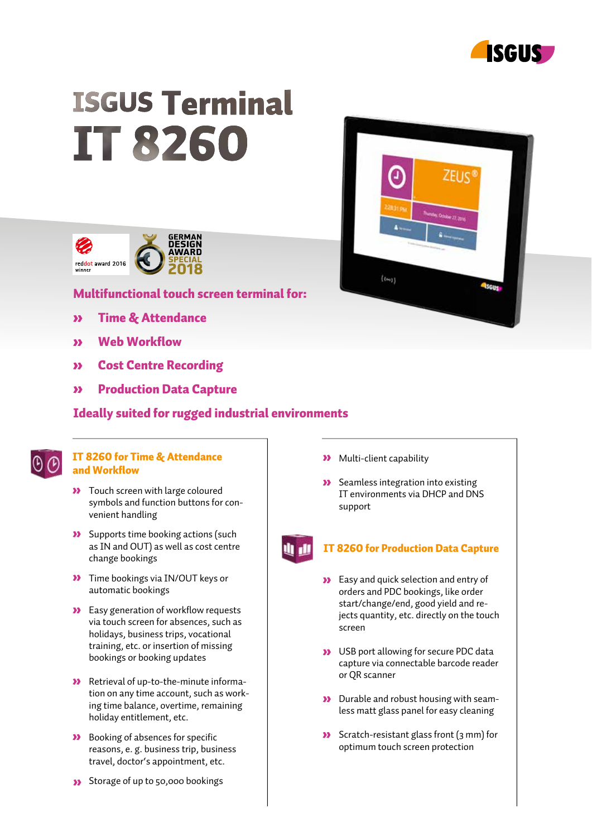

# **ISGUS Terminal IT 8260**



# Multifunctional touch screen terminal for:

- Time & Attendance
- Web Workflow
- Cost Centre Recording
- Production Data Capture

# Ideally suited for rugged industrial environments

## IT 8260 for Time & Attendance and Workflow

- **>>** Touch screen with large coloured symbols and function buttons for convenient handling
- **>>** Supports time booking actions (such as IN and OUT) as well as cost centre change bookings
- **XX** Time bookings via IN/OUT keys or automatic bookings
- **>>** Easy generation of workflow requests via touch screen for absences, such as holidays, business trips, vocational training, etc. or insertion of missing bookings or booking updates
- Retrieval of up-to-the-minute information on any time account, such as working time balance, overtime, remaining holiday entitlement, etc.
- **>>** Booking of absences for specific reasons, e. g. business trip, business travel, doctor's appointment, etc.
- Storage of up to 50,000 bookings



**>>** Seamless integration into existing IT environments via DHCP and DNS support

# IT 8260 for Production Data Capture

- **>>>** Easy and quick selection and entry of orders and PDC bookings, like order start/change/end, good yield and rejects quantity, etc. directly on the touch screen
- **>>** USB port allowing for secure PDC data capture via connectable barcode reader or QR scanner
- **>>** Durable and robust housing with seamless matt glass panel for easy cleaning
- $\sum$  Scratch-resistant glass front (3 mm) for optimum touch screen protection